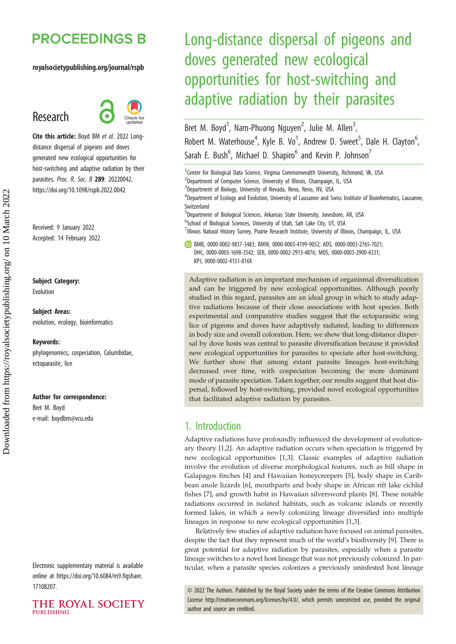# **PROCEEDINGS B**

### royalsocietypublishing.org/journal/rspb

# Research



Cite this article: Boyd BM et al. 2022 Longdistance dispersal of pigeons and doves generated new ecological opportunities for host-switching and adaptive radiation by their parasites. Proc. R. Soc. B 289: 20220042. https://doi.org/10.1098/rspb.2022.0042

Received: 9 January 2022 Accepted: 14 February 2022

### Subject Category:

Evolution

Subject Areas: evolution, ecology, bioinformatics

#### Keywords:

phylogenomics, cospeciation, Columbidae, ectoparasite, lice

#### Author for correspondence:

Bret M. Boyd e-mail: [boydbm@vcu.edu](mailto:boydbm@vcu.edu)

Electronic supplementary material is available online at [https://doi.org/10.6084/m9.figshare.](https://doi.org/10.6084/m9.figshare.17108207) [17108207.](https://doi.org/10.6084/m9.figshare.17108207)

THE ROYAL SOCIETY PURLISHING

# Long-distance dispersal of pigeons and doves generated new ecological opportunities for host-switching and adaptive radiation by their parasites

Bret M. Boyd<sup>1</sup>, Nam-Phuong Nguyen<sup>2</sup>, Julie M. Allen<sup>3</sup> , Robert M. Waterhouse<sup>4</sup>, Kyle B. Vo<sup>1</sup>, Andrew D. Sweet<sup>5</sup>, Dale H. Clayton<sup>6</sup> , Sarah E. Bush<sup>6</sup>, Michael D. Shapiro<sup>6</sup> and Kevin P. Johnson<sup>7</sup>

<sup>1</sup> Center for Biological Data Science, Virginia Commonwealth University, Richmond, VA, USA <sup>2</sup>Department of Computer Science, University of Illinois, Champaign, IL, USA <sup>3</sup>Department of Biology, University of Nevada, Reno, Reno, NV, USA 4 Department of Ecology and Evolution, University of Lausanne and Swiss Institute of Bioinformatics, Lausanne, Switzerland 5 Department of Biological Sciences, Arkansas State University, Jonesboro, AR, USA <sup>6</sup>School of Biological Sciences, University of Utah, Salt Lake City, UT, USA <sup>7</sup>Illinois Natural History Survey, Prairie Research Institute, University of Illinois, Champaign, IL, USA BMB, [0000-0002-9837-3483](http://orcid.org/0000-0002-9837-3483); RMW, [0000-0003-4199-9052](https://orcid.org/0000-0003-4199-9052); ADS, [0000-0003-2765-7021;](http://orcid.org/0000-0003-2765-7021) DHC, [0000-0003-1698-3542;](http://orcid.org/0000-0003-1698-3542) SEB, [0000-0002-2913-4876](https://orcid.org/0000-0002-2913-4876); MDS, [0000-0003-2900-4331](https://orcid.org/0000-0003-2900-4331); KPJ, [0000-0002-4151-816X](http://orcid.org/0000-0002-4151-816X)

Adaptive radiation is an important mechanism of organismal diversification and can be triggered by new ecological opportunities. Although poorly studied in this regard, parasites are an ideal group in which to study adaptive radiations because of their close associations with host species. Both experimental and comparative studies suggest that the ectoparasitic wing lice of pigeons and doves have adaptively radiated, leading to differences in body size and overall coloration. Here, we show that long-distance dispersal by dove hosts was central to parasite diversification because it provided new ecological opportunities for parasites to speciate after host-switching. We further show that among extant parasite lineages host-switching decreased over time, with cospeciation becoming the more dominant mode of parasite speciation. Taken together, our results suggest that host dispersal, followed by host-switching, provided novel ecological opportunities that facilitated adaptive radiation by parasites.

## 1. Introduction

Adaptive radiations have profoundly influenced the development of evolutionary theory [\[1,2\]](#page-6-0). An adaptive radiation occurs when speciation is triggered by new ecological opportunities [\[1,3\]](#page-6-0). Classic examples of adaptive radiation involve the evolution of diverse morphological features, such as bill shape in Galapagos finches [\[4\]](#page-6-0) and Hawaiian honeycreepers [\[5](#page-6-0)], body shape in Caribbean anole lizards [[6](#page-6-0)], mouthparts and body shape in African rift lake cichlid fishes [\[7\]](#page-6-0), and growth habit in Hawaiian silversword plants [\[8\]](#page-6-0). These notable radiations occurred in isolated habitats, such as volcanic islands or recently formed lakes, in which a newly colonizing lineage diversified into multiple lineages in response to new ecological opportunities [\[1,3\]](#page-6-0).

Relatively few studies of adaptive radiation have focused on animal parasites, despite the fact that they represent much of the world's biodiversity [\[9](#page-6-0)]. There is great potential for adaptive radiation by parasites, especially when a parasite lineage switches to a novel host lineage that was not previously colonized. In particular, when a parasite species colonizes a previously uninfested host lineage

© 2022 The Authors. Published by the Royal Society under the terms of the Creative Commons Attribution License<http://creativecommons.org/licenses/by/4.0/>, which permits unrestricted use, provided the original author and source are credited.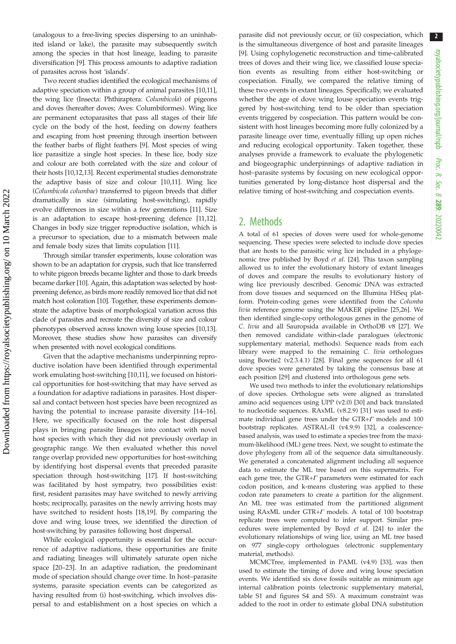2

(analogous to a free-living species dispersing to an uninhabited island or lake), the parasite may subsequently switch among the species in that host lineage, leading to parasite diversification [[9](#page-6-0)]. This process amounts to adaptive radiation of parasites across host 'islands'.

Two recent studies identified the ecological mechanisms of adaptive speciation within a group of animal parasites [\[10,11](#page-6-0)], the wing lice (Insecta: Phthiraptera: Columbicola) of pigeons and doves (hereafter doves; Aves: Columbiformes). Wing lice are permanent ectoparasites that pass all stages of their life cycle on the body of the host, feeding on downy feathers and escaping from host preening through insertion between the feather barbs of flight feathers [\[9\]](#page-6-0). Most species of wing lice parasitize a single host species. In these lice, body size and colour are both correlated with the size and colour of their hosts [[10](#page-6-0),[12](#page-6-0),[13](#page-6-0)]. Recent experimental studies demonstrate the adaptive basis of size and colour [\[10,11](#page-6-0)]. Wing lice (Columbicola columbae) transferred to pigeon breeds that differ dramatically in size (simulating host-switching), rapidly evolve differences in size within a few generations [[11](#page-6-0)]. Size is an adaptation to escape host-preening defence [\[11](#page-6-0),[12](#page-6-0)]. Changes in body size trigger reproductive isolation, which is a precursor to speciation, due to a mismatch between male and female body sizes that limits copulation [\[11](#page-6-0)].

Through similar transfer experiments, louse coloration was shown to be an adaptation for crypsis, such that lice transferred to white pigeon breeds became lighter and those to dark breeds became darker [\[10\]](#page-6-0). Again, this adaptation was selected by hostpreening defence, as birds more readily removed lice that did not match host coloration [[10](#page-6-0)]. Together, these experiments demonstrate the adaptive basis of morphological variation across this clade of parasites and recreate the diversity of size and colour phenotypes observed across known wing louse species [\[10,13](#page-6-0)]. Moreover, these studies show how parasites can diversify when presented with novel ecological conditions.

Given that the adaptive mechanisms underpinning reproductive isolation have been identified through experimental work emulating host-switching [\[10,11\]](#page-6-0), we focused on historical opportunities for host-switching that may have served as a foundation for adaptive radiations in parasites. Host dispersal and contact between host species have been recognized as having the potential to increase parasite diversity [[14](#page-6-0)–[16](#page-6-0)]. Here, we specifically focused on the role host dispersal plays in bringing parasite lineages into contact with novel host species with which they did not previously overlap in geographic range. We then evaluated whether this novel range overlap provided new opportunities for host-switching by identifying host dispersal events that preceded parasite speciation through host-switching [\[17](#page-6-0)]. If host-switching was facilitated by host sympatry, two possibilities exist: first, resident parasites may have switched to newly arriving hosts; reciprocally, parasites on the newly arriving hosts may have switched to resident hosts [\[18,19](#page-6-0)]. By comparing the dove and wing louse trees, we identified the direction of host-switching by parasites following host dispersal.

While ecological opportunity is essential for the occurrence of adaptive radiations, these opportunities are finite and radiating lineages will ultimately saturate open niche space [\[20](#page-7-0)–[23\]](#page-7-0). In an adaptive radiation, the predominant mode of speciation should change over time. In host–parasite systems, parasite speciation events can be categorized as having resulted from (i) host-switching, which involves dispersal to and establishment on a host species on which a

parasite did not previously occur, or (ii) cospeciation, which is the simultaneous divergence of host and parasite lineages [[9](#page-6-0)]. Using cophylogenetic reconstruction and time-calibrated trees of doves and their wing lice, we classified louse speciation events as resulting from either host-switching or cospeciation. Finally, we compared the relative timing of these two events in extant lineages. Specifically, we evaluated whether the age of dove wing louse speciation events triggered by host-switching tend to be older than speciation events triggered by cospeciation. This pattern would be consistent with host lineages becoming more fully colonized by a parasite lineage over time, eventually filling up open niches and reducing ecological opportunity. Taken together, these analyses provide a framework to evaluate the phylogenetic and biogeographic underpinnings of adaptive radiation in host–parasite systems by focusing on new ecological opportunities generated by long-distance host dispersal and the relative timing of host-switching and cospeciation events.

## 2. Methods

A total of 61 species of doves were used for whole-genome sequencing. These species were selected to include dove species that are hosts to the parasitic wing lice included in a phylogenomic tree published by Boyd et al. [\[24\]](#page-7-0). This taxon sampling allowed us to infer the evolutionary history of extant lineages of doves and compare the results to evolutionary history of wing lice previously described. Genomic DNA was extracted from dove tissues and sequenced on the Illumina HiSeq platform. Protein-coding genes were identified from the Columba livia reference genome using the MAKER pipeline [[25,26\]](#page-7-0). We then identified single-copy orthologous genes in the genome of C. livia and all Sauropsida available in OrthoDB v8 [\[27\]](#page-7-0). We then removed candidate within-clade paralogues (electronic supplementary material, methods). Sequence reads from each library were mapped to the remaining C. livia orthologues using Bowtie2 (v2.3.4.1) [[28](#page-7-0)]. Final gene sequences for all 61 dove species were generated by taking the consensus base at each position [\[29\]](#page-7-0) and clustered into orthologous gene sets.

We used two methods to infer the evolutionary relationships of dove species. Orthologue sets were aligned as translated amino acid sequences using UPP (v2.0) [\[30\]](#page-7-0) and back translated to nucleotide sequences. RAxML (v8.2.9) [\[31\]](#page-7-0) was used to estimate individual gene trees under the GTR+ $\Gamma$  models and 100 bootstrap replicates. ASTRAL-II (v4.9.9) [\[32](#page-7-0)], a coalescencebased analysis, was used to estimate a species tree from the maximum-likelihood (ML) gene trees. Next, we sought to estimate the dove phylogeny from all of the sequence data simultaneously. We generated a concatenated alignment including all sequence data to estimate the ML tree based on this supermatrix. For each gene tree, the GTR+ $\Gamma$  parameters were estimated for each codon position, and k-means clustering was applied to these codon rate parameters to create a partition for the alignment. An ML tree was estimated from the partitioned alignment using RAxML under GTR+ $\Gamma$  models. A total of 100 bootstrap replicate trees were computed to infer support. Similar procedures were implemented by Boyd et al. [[24](#page-7-0)] to infer the evolutionary relationships of wing lice, using an ML tree based on 977 single-copy orthologues (electronic supplementary material, methods).

MCMCTree, implemented in PAML (v4.9) [\[33\]](#page-7-0), was then used to estimate the timing of dove and wing louse speciation events. We identified six dove fossils suitable as minimum age internal calibration points (electronic supplementary material, table S1 and figures S4 and S5). A maximum constraint was added to the root in order to estimate global DNA substitution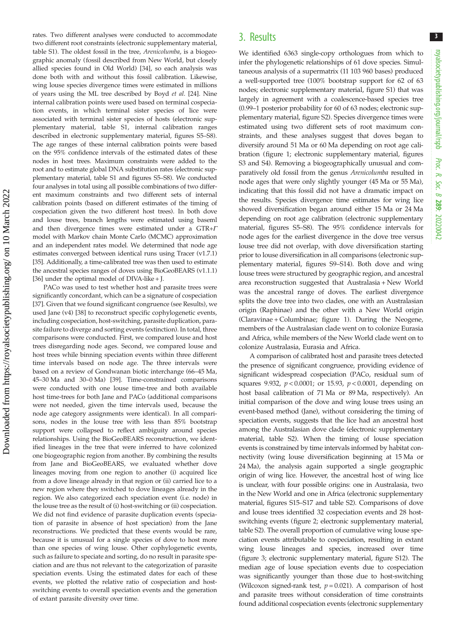3

rates. Two different analyses were conducted to accommodate two different root constraints (electronic supplementary material, table S1). The oldest fossil in the tree, Arenicolumba, is a biogeographic anomaly (fossil described from New World, but closely allied species found in Old World) [\[34\]](#page-7-0), so each analysis was done both with and without this fossil calibration. Likewise, wing louse species divergence times were estimated in millions of years using the ML tree described by Boyd et al. [\[24\]](#page-7-0). Nine internal calibration points were used based on terminal cospeciation events, in which terminal sister species of lice were associated with terminal sister species of hosts (electronic supplementary material, table S1, internal calibration ranges described in electronic supplementary material, figures S5–S8). The age ranges of these internal calibration points were based on the 95% confidence intervals of the estimated dates of these nodes in host trees. Maximum constraints were added to the root and to estimate global DNA substitution rates (electronic supplementary material, table S1 and figures S5–S8). We conducted four analyses in total using all possible combinations of two different maximum constraints and two different sets of internal calibration points (based on different estimates of the timing of cospeciation given the two different host trees). In both dove and louse trees, branch lengths were estimated using baseml and then divergence times were estimated under a GTR+Γ model with Markov chain Monte Carlo (MCMC) approximation and an independent rates model. We determined that node age estimates converged between identical runs using Tracer (v1.7.1) [\[35\]](#page-7-0). Additionally, a time-calibrated tree was then used to estimate the ancestral species ranges of doves using BioGeoBEARS (v1.1.1) [\[36\]](#page-7-0) under the optimal model of DIVA-like + J.

PACo was used to test whether host and parasite trees were significantly concordant, which can be a signature of cospeciation [\[37\]](#page-7-0). Given that we found significant congruence (see Results), we used Jane (v4) [\[38\]](#page-7-0) to reconstruct specific cophylogenetic events, including cospeciation, host-switching, parasite duplication, parasite failure to diverge and sorting events (extinction). In total, three comparisons were conducted. First, we compared louse and host trees disregarding node ages. Second, we compared louse and host trees while binning speciation events within three different time intervals based on node age. The three intervals were based on a review of Gondwanan biotic interchange (66–45 Ma, 45–30 Ma and 30–0 Ma) [[39](#page-7-0)]. Time-constrained comparisons were conducted with one louse time-tree and both available host time-trees for both Jane and PACo (additional comparisons were not needed, given the time intervals used, because the node age category assignments were identical). In all comparisons, nodes in the louse tree with less than 85% bootstrap support were collapsed to reflect ambiguity around species relationships. Using the BioGeoBEARS reconstruction, we identified lineages in the tree that were inferred to have colonized one biogeographic region from another. By combining the results from Jane and BioGeoBEARS, we evaluated whether dove lineages moving from one region to another (i) acquired lice from a dove lineage already in that region or (ii) carried lice to a new region where they switched to dove lineages already in the region. We also categorized each speciation event (i.e. node) in the louse tree as the result of (i) host-switching or (ii) cospeciation. We did not find evidence of parasite duplication events (speciation of parasite in absence of host speciation) from the Jane reconstructions. We predicted that these events would be rare, because it is unusual for a single species of dove to host more than one species of wing louse. Other cophylogenetic events, such as failure to speciate and sorting, do no result in parasite speciation and are thus not relevant to the categorization of parasite speciation events. Using the estimated dates for each of these events, we plotted the relative ratio of cospeciation and hostswitching events to overall speciation events and the generation of extant parasite diversity over time.

# 3. Results

We identified 6363 single-copy orthologues from which to infer the phylogenetic relationships of 61 dove species. Simultaneous analysis of a supermatrix (11 103 960 bases) produced a well-supported tree (100% bootstrap support for 62 of 63 nodes; electronic supplementary material, figure S1) that was largely in agreement with a coalescence-based species tree (0.99–1 posterior probability for 60 of 63 nodes; electronic supplementary material, figure S2). Species divergence times were estimated using two different sets of root maximum constraints, and these analyses suggest that doves began to diversify around 51 Ma or 60 Ma depending on root age calibration [\(figure 1](#page-3-0); electronic supplementary material, figures S3 and S4). Removing a biogeographically unusual and comparatively old fossil from the genus Arenicolumba resulted in node ages that were only slightly younger (45 Ma or 55 Ma), indicating that this fossil did not have a dramatic impact on the results. Species divergence time estimates for wing lice showed diversification began around either 15 Ma or 24 Ma depending on root age calibration (electronic supplementary material, figures S5–S8). The 95% confidence intervals for node ages for the earliest divergence in the dove tree versus louse tree did not overlap, with dove diversification starting prior to louse diversification in all comparisons (electronic supplementary material, figures S9–S14). Both dove and wing louse trees were structured by geographic region, and ancestral area reconstruction suggested that Australasia + New World was the ancestral range of doves. The earliest divergence splits the dove tree into two clades, one with an Australasian origin (Raphinae) and the other with a New World origin (Claravinae + Columbinae; [figure 1](#page-3-0)). During the Neogene, members of the Australasian clade went on to colonize Eurasia and Africa, while members of the New World clade went on to colonize Australasia, Eurasia and Africa.

A comparison of calibrated host and parasite trees detected the presence of significant congruence, providing evidence of significant widespread cospeciation (PACo, residual sum of squares 9.932,  $p < 0.0001$ ; or 15.93,  $p < 0.0001$ , depending on host basal calibration of 71 Ma or 89 Ma, respectively). An initial comparison of the dove and wing louse trees using an event-based method (Jane), without considering the timing of speciation events, suggests that the lice had an ancestral host among the Australasian dove clade (electronic supplementary material, table S2). When the timing of louse speciation events is constrained by time intervals informed by habitat connectivity (wing louse diversification beginning at 15 Ma or 24 Ma), the analysis again supported a single geographic origin of wing lice. However, the ancestral host of wing lice is unclear, with four possible origins: one in Australasia, two in the New World and one in Africa (electronic supplementary material, figures S15–S17 and table S2). Comparisons of dove and louse trees identified 32 cospeciation events and 28 hostswitching events ([figure 2](#page-4-0); electronic supplementary material, table S2). The overall proportion of cumulative wing louse speciation events attributable to cospeciation, resulting in extant wing louse lineages and species, increased over time ([figure 3;](#page-5-0) electronic supplementary material, figure S12). The median age of louse speciation events due to cospeciation was significantly younger than those due to host-switching (Wilcoxon signed-rank test,  $p = 0.021$ ). A comparison of host and parasite trees without consideration of time constraints found additional cospeciation events (electronic supplementary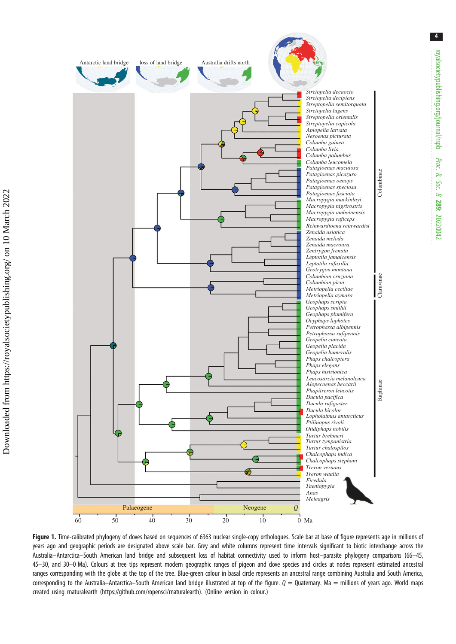<span id="page-3-0"></span>

Figure 1. Time-calibrated phylogeny of doves based on sequences of 6363 nuclear single-copy orthologues. Scale bar at base of figure represents age in millions of years ago and geographic periods are designated above scale bar. Grey and white columns represent time intervals significant to biotic interchange across the Australia–Antarctica–South American land bridge and subsequent loss of habitat connectivity used to inform host–parasite phylogeny comparisons (66–45, 45–30, and 30–0 Ma). Colours at tree tips represent modern geographic ranges of pigeon and dove species and circles at nodes represent estimated ancestral ranges corresponding with the globe at the top of the tree. Blue-green colour in basal circle represents an ancestral range combining Australia and South America, corresponding to the Australia–Antarctica–South American land bridge illustrated at top of the figure.  $Q = Q$ uaternary. Ma = millions of years ago. World maps created using rnaturalearth [\(https://github.com/ropensci/rnaturalearth](https://github.com/ropensci/rnaturalearth)). (Online version in colour.)

royalsocietypublishing.org/journal/rspb

royalsocietypublishing.org/journal/rspb

Proc. R. Soc. $\sigma$ 

289: 20220042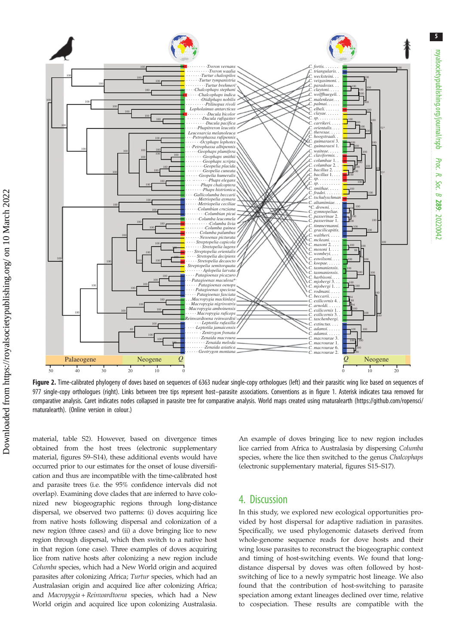<span id="page-4-0"></span>

Figure 2. Time-calibrated phylogeny of doves based on sequences of 6363 nuclear single-copy orthologues (left) and their parasitic wing lice based on sequences of 977 single-copy orthologues (right). Links between tree tips represent host–parasite associations. Conventions as in [figure 1](#page-3-0). Asterisk indicates taxa removed for comparative analysis. Caret indicates nodes collapsed in parasite tree for comparative analysis. World maps created using rnaturalearth ([https://github.com/ropensci/](https://github.com/ropensci/rnaturalearth) [rnaturalearth](https://github.com/ropensci/rnaturalearth)). (Online version in colour.)

material, table S2). However, based on divergence times obtained from the host trees (electronic supplementary material, figures S9–S14), these additional events would have occurred prior to our estimates for the onset of louse diversification and thus are incompatible with the time-calibrated host and parasite trees (i.e. the 95% confidence intervals did not overlap). Examining dove clades that are inferred to have colonized new biogeographic regions through long-distance dispersal, we observed two patterns: (i) doves acquiring lice from native hosts following dispersal and colonization of a new region (three cases) and (ii) a dove bringing lice to new region through dispersal, which then switch to a native host in that region (one case). Three examples of doves acquiring lice from native hosts after colonizing a new region include Columba species, which had a New World origin and acquired parasites after colonizing Africa; Turtur species, which had an Australasian origin and acquired lice after colonizing Africa; and Macropygia + Reinwardtoena species, which had a New World origin and acquired lice upon colonizing Australasia. An example of doves bringing lice to new region includes lice carried from Africa to Australasia by dispersing Columba species, where the lice then switched to the genus Chalcophaps (electronic supplementary material, figures S15–S17).

royalsocietypublishing.org/journal/rspb

royalsocietypublishing.org/journal/rspb

5

Proc. R. Soc. $\sigma$ 

289: 20220042

## 4. Discussion

In this study, we explored new ecological opportunities provided by host dispersal for adaptive radiation in parasites. Specifically, we used phylogenomic datasets derived from whole-genome sequence reads for dove hosts and their wing louse parasites to reconstruct the biogeographic context and timing of host-switching events. We found that longdistance dispersal by doves was often followed by hostswitching of lice to a newly sympatric host lineage. We also found that the contribution of host-switching to parasite speciation among extant lineages declined over time, relative to cospeciation. These results are compatible with the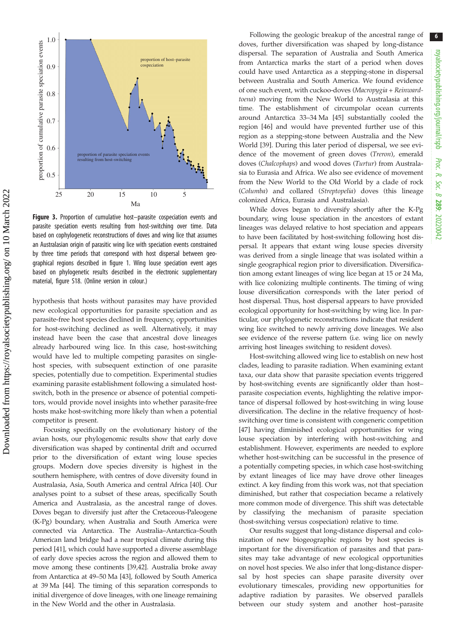<span id="page-5-0"></span>

Figure 3. Proportion of cumulative host-parasite cospeciation events and parasite speciation events resulting from host-switching over time. Data based on cophylogenetic reconstructions of doves and wing lice that assumes an Australasian origin of parasitic wing lice with speciation events constrained by three time periods that correspond with host dispersal between geographical regions described in [figure 1](#page-3-0). Wing louse speciation event ages based on phylogenetic results described in the electronic supplementary material, figure S18. (Online version in colour.)

hypothesis that hosts without parasites may have provided new ecological opportunities for parasite speciation and as parasite-free host species declined in frequency, opportunities for host-switching declined as well. Alternatively, it may instead have been the case that ancestral dove lineages already harboured wing lice. In this case, host-switching would have led to multiple competing parasites on singlehost species, with subsequent extinction of one parasite species, potentially due to competition. Experimental studies examining parasite establishment following a simulated hostswitch, both in the presence or absence of potential competitors, would provide novel insights into whether parasite-free hosts make host-switching more likely than when a potential competitor is present.

Focusing specifically on the evolutionary history of the avian hosts, our phylogenomic results show that early dove diversification was shaped by continental drift and occurred prior to the diversification of extant wing louse species groups. Modern dove species diversity is highest in the southern hemisphere, with centres of dove diversity found in Australasia, Asia, South America and central Africa [\[40\]](#page-7-0). Our analyses point to a subset of these areas, specifically South America and Australasia, as the ancestral range of doves. Doves began to diversify just after the Cretaceous-Paleogene (K-Pg) boundary, when Australia and South America were connected via Antarctica. The Australia–Antarctica–South American land bridge had a near tropical climate during this period [\[41\]](#page-7-0), which could have supported a diverse assemblage of early dove species across the region and allowed them to move among these continents [\[39,42\]](#page-7-0). Australia broke away from Antarctica at 49–50 Ma [\[43](#page-7-0)], followed by South America at 39 Ma [[44](#page-7-0)]. The timing of this separation corresponds to initial divergence of dove lineages, with one lineage remaining in the New World and the other in Australasia.

Following the geologic breakup of the ancestral range of doves, further diversification was shaped by long-distance dispersal. The separation of Australia and South America from Antarctica marks the start of a period when doves could have used Antarctica as a stepping-stone in dispersal between Australia and South America. We found evidence of one such event, with cuckoo-doves (Macropygia + Reinwardtoena) moving from the New World to Australasia at this time. The establishment of circumpolar ocean currents around Antarctica 33–34 Ma [\[45](#page-7-0)] substantially cooled the region [\[46](#page-7-0)] and would have prevented further use of this region as a stepping-stone between Australia and the New World [[39\]](#page-7-0). During this later period of dispersal, we see evidence of the movement of green doves (Treron), emerald doves (Chalcophaps) and wood doves (Turtur) from Australasia to Eurasia and Africa. We also see evidence of movement from the New World to the Old World by a clade of rock (Columba) and collared (Streptopelia) doves (this lineage colonized Africa, Eurasia and Australasia).

While doves began to diversify shortly after the K-Pg boundary, wing louse speciation in the ancestors of extant lineages was delayed relative to host speciation and appears to have been facilitated by host-switching following host dispersal. It appears that extant wing louse species diversity was derived from a single lineage that was isolated within a single geographical region prior to diversification. Diversification among extant lineages of wing lice began at 15 or 24 Ma, with lice colonizing multiple continents. The timing of wing louse diversification corresponds with the later period of host dispersal. Thus, host dispersal appears to have provided ecological opportunity for host-switching by wing lice. In particular, our phylogenetic reconstructions indicate that resident wing lice switched to newly arriving dove lineages. We also see evidence of the reverse pattern (i.e. wing lice on newly arriving host lineages switching to resident doves).

Host-switching allowed wing lice to establish on new host clades, leading to parasite radiation. When examining extant taxa, our data show that parasite speciation events triggered by host-switching events are significantly older than host– parasite cospeciation events, highlighting the relative importance of dispersal followed by host-switching in wing louse diversification. The decline in the relative frequency of hostswitching over time is consistent with congeneric competition [[47\]](#page-7-0) having diminished ecological opportunities for wing louse speciation by interfering with host-switching and establishment. However, experiments are needed to explore whether host-switching can be successful in the presence of a potentially competing species, in which case host-switching by extant lineages of lice may have drove other lineages extinct. A key finding from this work was, not that speciation diminished, but rather that cospeciation became a relatively more common mode of divergence. This shift was detectable by classifying the mechanism of parasite speciation (host-switching versus cospeciation) relative to time.

Our results suggest that long-distance dispersal and colonization of new biogeographic regions by host species is important for the diversification of parasites and that parasites may take advantage of new ecological opportunities on novel host species. We also infer that long-distance dispersal by host species can shape parasite diversity over evolutionary timescales, providing new opportunities for adaptive radiation by parasites. We observed parallels between our study system and another host–parasite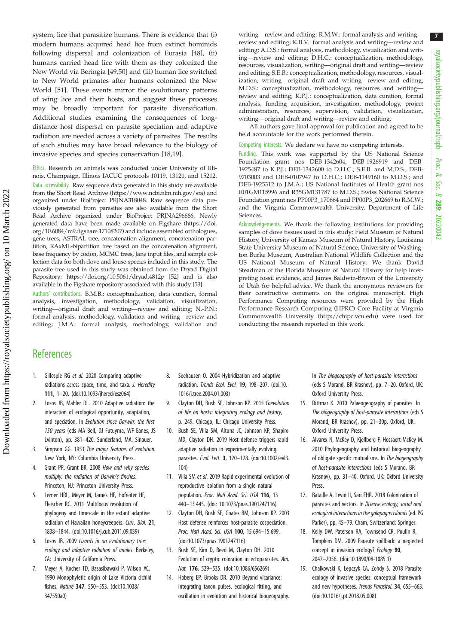7

<span id="page-6-0"></span>system, lice that parasitize humans. There is evidence that (i) modern humans acquired head lice from extinct hominids following dispersal and colonization of Eurasia [[48\]](#page-7-0), (ii) humans carried head lice with them as they colonized the New World via Beringia [\[49,50\]](#page-7-0) and (iii) human lice switched to New World primates after humans colonized the New World [[51\]](#page-7-0). These events mirror the evolutionary patterns of wing lice and their hosts, and suggest these processes may be broadly important for parasite diversification. Additional studies examining the consequences of longdistance host dispersal on parasite speciation and adaptive radiation are needed across a variety of parasites. The results of such studies may have broad relevance to the biology of invasive species and species conservation [18,19].

Ethics. Research on animals was conducted under University of Illinois, Champaign, Illinois IACUC protocols 10119, 13121, and 15212. Data accessibility. Raw sequence data generated in this study are available from the Short Read Archive [\(https://www.ncbi.nlm.nih.gov/sra](https://www.ncbi.nlm.nih.gov/sra)) and organized under BioProject PRJNA318048. Raw sequence data previously generated from parasites are also available from the Short Read Archive organized under BioProject PRJNA296666. Newly generated data have been made available on Figshare [\(https://doi.](http://dx.doi.org/10.6084/m9.figshare.17108207) [org/10.6084/m9.figshare.17108207\)](http://dx.doi.org/10.6084/m9.figshare.17108207) and include assembled orthologues, gene trees, ASTRAL tree, concatenation alignment, concatenation partition, RAxML-bipartition tree based on the concatenation alignment, base frequency by codon, MCMC trees, Jane input files, and sample collection data for both dove and louse species included in this study. The parasite tree used in this study was obtained from the Dryad Digital Repository:<https://doi.org/10.5061/dryad.4812p> [\[52\]](#page-7-0) and is also available in the Figshare repository associated with this study [\[53\]](#page-7-0).

Authors' contributions. B.M.B.: conceptualization, data curation, formal analysis, investigation, methodology, validation, visualization, writing—original draft and writing—review and editing; N.-P.N.: formal analysis, methodology, validation and writing—review and editing; J.M.A.: formal analysis, methodology, validation and writing—review and editing; R.M.W.: formal analysis and writing review and editing; K.B.V.: formal analysis and writing—review and editing; A.D.S.: formal analysis, methodology, visualization and writing—review and editing; D.H.C.: conceptualization, methodology, resources, visualization, writing—original draft and writing—review and editing; S.E.B.: conceptualization, methodology, resources, visualization, writing—original draft and writing—review and editing; M.D.S.: conceptualization, methodology, resources and writing review and editing; K.P.J.: conceptualization, data curation, formal analysis, funding acquisition, investigation, methodology, project administration, resources, supervision, validation, visualization, writing—original draft and writing—review and editing.

All authors gave final approval for publication and agreed to be held accountable for the work performed therein.

Competing interests. We declare we have no competing interests.

Funding. This work was supported by the US National Science Foundation grant nos DEB-1342604, DEB-1926919 and DEB-1925487 to K.P.J.; DEB-1342600 to D.H.C., S.E.B. and M.D.S.; DEB-9703003 and DEB-0107947 to D.H.C.; DEB-1149160 to M.D.S.; and DEB-1925312 to J.M.A.; US National Institutes of Health grant nos R01GM115996 and R35GM131787 to M.D.S.; Swiss National Science Foundation grant nos PP00P3\_170664 and PP00P3\_202669 to R.M.W.; and the Virginia Commonwealth University, Department of Life Sciences.

Acknowledgements. We thank the following institutions for providing samples of dove tissues used in this study: Field Museum of Natural History, University of Kansas Museum of Natural History, Louisiana State University Museum of Natural Science, University of Washington Burke Museum, Australian National Wildlife Collection and the US National Museum of Natural History. We thank David Steadman of the Florida Museum of Natural History for help interpreting fossil evidence, and James Baldwin-Brown of the University of Utah for helpful advice. We thank the anonymous reviewers for their constructive comments on the original manuscript. High Performance Computing resources were provided by the High Performance Research Computing (HPRC) Core Facility at Virginia Commonwealth University (<http://chipc.vcu.edu>) were used for conducting the research reported in this work.

# **References**

- 1. Gillespie RG et al. 2020 Comparing adaptive radiations across space, time, and taxa. J. Heredity 111, 1–20. ([doi:10.1093/jhered/esz064](http://dx.doi.org/10.1093/jhered/esz064))
- 2. Losos JB, Mahler DL. 2010 Adaptive radiation: the interaction of ecological opportunity, adaptation, and speciation. In Evolution since Darwin: the first 150 years (eds MA Bell, DJ Futuyma, WF Eanes, JS Lvinton), pp. 381–420. Sunderland, MA: Sinauer.
- 3. Simpson GG. 1953 The major features of evolution. New York, NY: Columbia University Press.
- 4. Grant PR, Grant BR. 2008 How and why species multiply: the radiation of Darwin's finches. Princeton, NJ: Princeton University Press.
- 5. Lerner HRL, Meyer M, James HF, Hofreiter HF, Fleischer RC. 2011 Multilocus resolution of phylogeny and timescale in the extant adaptive radiation of Hawaiian honeycreepers. Curr. Biol. 21, 1838–1844. [\(doi:10.1016/j.cub.2011.09.039\)](http://dx.doi.org/10.1016/j.cub.2011.09.039)
- 6. Losos JB. 2009 Lizards in an evolutionary tree: ecology and adaptive radiation of anoles. Berkeley, CA: University of California Press.
- 7. Meyer A, Kocher TD, Basasibawaki P, Wilson AC. 1990 Monophyletic origin of Lake Victoria cichlid fishes. Nature 347, 550–553. ([doi:10.1038/](http://dx.doi.org/10.1038/347550a0) [347550a0\)](http://dx.doi.org/10.1038/347550a0)
- 8. Seehausen O. 2004 Hybridization and adaptive radiation. Trends Ecol. Evol. 19, 198-207. [\(doi:10.](http://dx.doi.org/10.1016/j.tree.2004.01.003) [1016/j.tree.2004.01.003](http://dx.doi.org/10.1016/j.tree.2004.01.003))
- 9. Clayton DH, Bush SE, Johnson KP. 2015 Coevolution of life on hosts: integrating ecology and history, p. 249. Chicago, IL: Chicago University Press.
- 10. Bush SE, Villa SM, Altuna JC, Johnson KP, Shapiro MD, Clayton DH. 2019 Host defense triggers rapid adaptive radiation in experimentally evolving parasites. Evol. Lett. 3, 120–128. [\(doi:10.1002/evl3.](http://dx.doi.org/10.1002/evl3.104) [104](http://dx.doi.org/10.1002/evl3.104))
- 11. Villa SM et al. 2019 Rapid experimental evolution of reproductive isolation from a single natural population. Proc. Natl Acad. Sci. USA 116, 13 440–13 445. [\(doi: 10.1073/pnas.1901247116\)](http://dx.doi.org/10.1073/pnas.1901247116)
- 12. Clayton DH, Bush SE, Goates BM, Johnson KP. 2003 Host defense reinforces host-parasite cospeciation. Proc. Natl Acad. Sci. USA 100, 15 694-15 699. [\(doi:10.1073/pnas.1901247116\)](http://dx.doi.org/10.1073/pnas.1901247116)
- 13. Bush SE, Kim D, Reed M, Clayton DH. 2010 Evolution of cryptic coloration in ectoparasites. Am. Nat. 176, 529–535. ([doi:10.1086/656269](http://dx.doi.org/10.1086/656269))
- 14. Hoberg EP, Brooks DR. 2010 Beyond vicariance: integrating taxon pulses, ecological fitting, and oscillation in evolution and historical biogeography.

In The biogeography of host-parasite interactions (eds S Morand, BR Krasnov), pp. 7–20. Oxford, UK: Oxford University Press.

- 15. Dittmar K. 2010 Palaeogeography of parasites. In The biogeography of host-parasite interactions (eds S Morand, BR Krasnov), pp. 21–30p. Oxford, UK: Oxford University Press.
- 16. Alvarex N, McKey D, Kjellberg F, Hossaert-McKey M. 2010 Phylogeography and historical biogeography of obligate specific mutualisms. In The biogeography of host-parasite interactions (eds S Morand, BR Krasnov), pp. 31–40. Oxford, UK: Oxford University Press.
- 17. Bataille A, Levin II, Sari EHR. 2018 Colonization of parasites and vectors. In Disease ecology, social and ecological interactions in the galapagos islands (ed. PG Parker), pp. 45–79. Cham, Switzerland: Springer.
- 18. Kelly DW, Paterson RA, Townsend CR, Poulin R, Tompkins DM. 2009 Parasite spillback: a neglected concept in invasion ecology? Ecology 90, 2047–2056. [\(doi:10.1890/08-1085.1](http://dx.doi.org/10.1890/08-1085.1))
- 19. Chalkowski K, Lepczyk CA, Zohdy S. 2018 Parasite ecology of invasive species: conceptual framework and new hypotheses. Trends Parasitol. 34, 655–663. ([doi:10.1016/j.pt.2018.05.008](http://dx.doi.org/10.1016/j.pt.2018.05.008))